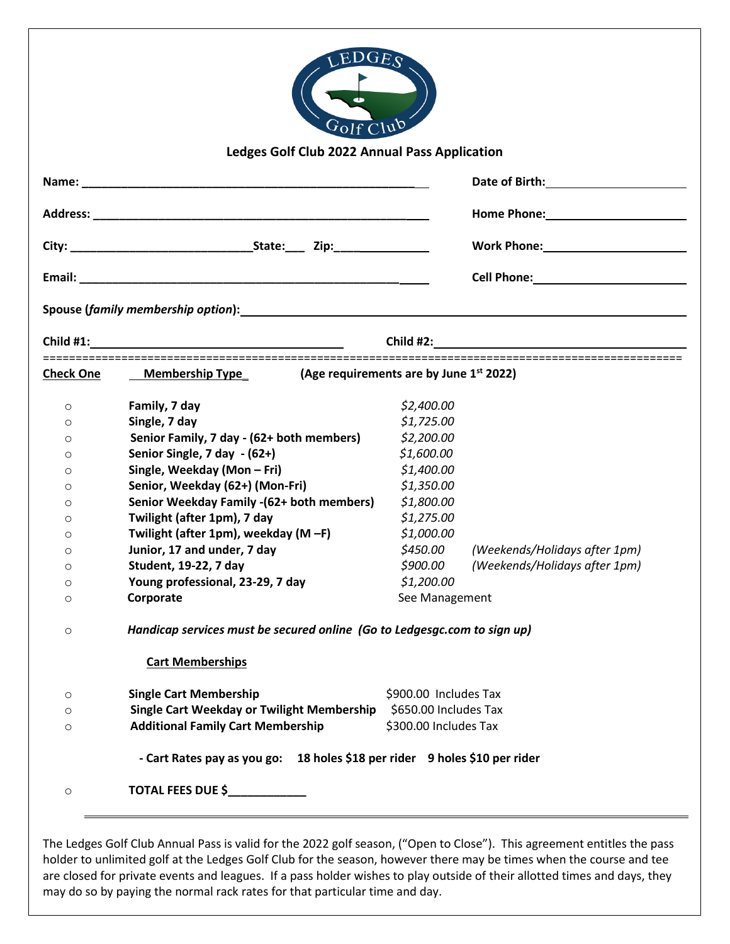|         |                                                                                                                                                                                                                                |                              | Date of Birth: National Property of Birth:                                                                                                                                                                                           |  |  |
|---------|--------------------------------------------------------------------------------------------------------------------------------------------------------------------------------------------------------------------------------|------------------------------|--------------------------------------------------------------------------------------------------------------------------------------------------------------------------------------------------------------------------------------|--|--|
|         |                                                                                                                                                                                                                                |                              |                                                                                                                                                                                                                                      |  |  |
|         |                                                                                                                                                                                                                                |                              |                                                                                                                                                                                                                                      |  |  |
|         |                                                                                                                                                                                                                                |                              | Cell Phone: <u>contract and contract and contract and contract and contract and contract and contract and contract and contract and contract and contract and contract and contract and contract and contract and contract and c</u> |  |  |
|         | Spouse (family membership option): Spouse of the state of the state of the state of the state of the state of the state of the state of the state of the state of the state of the state of the state of the state of the stat |                              |                                                                                                                                                                                                                                      |  |  |
|         |                                                                                                                                                                                                                                |                              |                                                                                                                                                                                                                                      |  |  |
|         | Check One Membership Type $\qquad$ (Age requirements are by June 1st 2022)                                                                                                                                                     |                              |                                                                                                                                                                                                                                      |  |  |
| $\circ$ | Family, 7 day                                                                                                                                                                                                                  | \$2,400.00                   |                                                                                                                                                                                                                                      |  |  |
| $\circ$ | Single, 7 day                                                                                                                                                                                                                  | \$1,725.00                   |                                                                                                                                                                                                                                      |  |  |
| $\circ$ | Senior Family, 7 day - (62+ both members)                                                                                                                                                                                      | \$2,200.00                   |                                                                                                                                                                                                                                      |  |  |
| $\circ$ | Senior Single, 7 day - (62+)                                                                                                                                                                                                   | \$1,600.00                   |                                                                                                                                                                                                                                      |  |  |
| $\circ$ | Single, Weekday (Mon - Fri)                                                                                                                                                                                                    | \$1,400.00                   |                                                                                                                                                                                                                                      |  |  |
| $\circ$ | Senior, Weekday (62+) (Mon-Fri)                                                                                                                                                                                                | \$1,350.00                   |                                                                                                                                                                                                                                      |  |  |
| $\circ$ | Senior Weekday Family -(62+ both members)                                                                                                                                                                                      | \$1,800.00                   |                                                                                                                                                                                                                                      |  |  |
| O       | Twilight (after 1pm), 7 day                                                                                                                                                                                                    | \$1,275.00                   |                                                                                                                                                                                                                                      |  |  |
| O       | Twilight (after 1pm), weekday (M-F)                                                                                                                                                                                            | \$1,000.00                   |                                                                                                                                                                                                                                      |  |  |
|         | Junior, 17 and under, 7 day                                                                                                                                                                                                    | \$450.00                     | (Weekends/Holidays after 1pm)                                                                                                                                                                                                        |  |  |
| O       |                                                                                                                                                                                                                                |                              | \$900.00 (Weekends/Holidays after 1pm)                                                                                                                                                                                               |  |  |
| O       | Student, 19-22, 7 day                                                                                                                                                                                                          |                              |                                                                                                                                                                                                                                      |  |  |
| O       |                                                                                                                                                                                                                                |                              |                                                                                                                                                                                                                                      |  |  |
| $\circ$ | Young professional, 23-29, 7 day<br>Corporate                                                                                                                                                                                  | \$1,200.00<br>See Management |                                                                                                                                                                                                                                      |  |  |
| $\circ$ | Handicap services must be secured online (Go to Ledgesgc.com to sign up)                                                                                                                                                       |                              |                                                                                                                                                                                                                                      |  |  |
|         | <b>Cart Memberships</b>                                                                                                                                                                                                        |                              |                                                                                                                                                                                                                                      |  |  |
| $\circ$ | <b>Single Cart Membership</b>                                                                                                                                                                                                  | \$900.00 Includes Tax        |                                                                                                                                                                                                                                      |  |  |
| O       | Single Cart Weekday or Twilight Membership                                                                                                                                                                                     | \$650.00 Includes Tax        |                                                                                                                                                                                                                                      |  |  |

The Ledges Golf Club Annual Pass is valid for the 2022 golf season, ("Open to Close"). This agreement entitles the pass holder to unlimited golf at the Ledges Golf Club for the season, however there may be times when the course and tee are closed for private events and leagues. If a pass holder wishes to play outside of their allotted times and days, they may do so by paying the normal rack rates for that particular time and day.